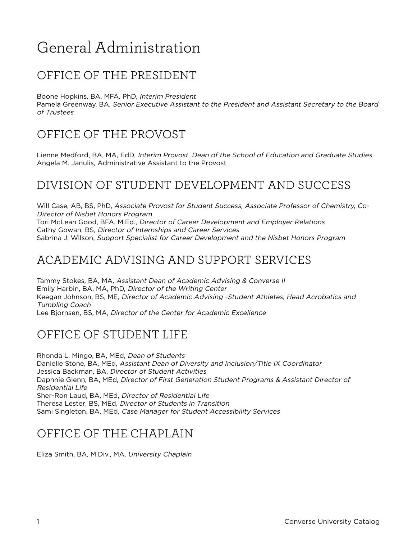# General Administration

# OFFICE OF THE PRESIDENT

Boone Hopkins, BA, MFA, PhD, Interim President

Pamela Greenway, BA, Senior Executive Assistant to the President and Assistant Secretary to the Board of Trustees

# OFFICE OF THE PROVOST

Lienne Medford, BA, MA, EdD, Interim Provost, Dean of the School of Education and Graduate Studies Angela M. Janulis, Administrative Assistant to the Provost

# DIVISION OF STUDENT DEVELOPMENT AND SUCCESS

Will Case, AB, BS, PhD, Associate Provost for Student Success, Associate Professor of Chemistry, Co-Director of Nisbet Honors Program Tori McLean Good, BFA, M.Ed., Director of Career Development and Employer Relations Cathy Gowan, BS, Director of Internships and Career Services Sabrina J. Wilson, Support Specialist for Career Development and the Nisbet Honors Program

## ACADEMIC ADVISING AND SUPPORT SERVICES

Tammy Stokes, BA, MA, Assistant Dean of Academic Advising & Converse II Emily Harbin, BA, MA, PhD, Director of the Writing Center Keegan Johnson, BS, ME, Director of Academic Advising -Student Athletes, Head Acrobatics and Tumbling Coach Lee Bjornsen, BS, MA, Director of the Center for Academic Excellence

# OFFICE OF STUDENT LIFE

Rhonda L. Mingo, BA, MEd, Dean of Students Danielle Stone, BA, MEd, Assistant Dean of Diversity and Inclusion/Title IX Coordinator Jessica Backman, BA, Director of Student Activities Daphnie Glenn, BA, MEd, Director of First Generation Student Programs & Assistant Director of Residential Life Sher-Ron Laud, BA, MEd, Director of Residential Life Theresa Lester, BS, MEd, Director of Students in Transition Sami Singleton, BA, MEd, Case Manager for Student Accessibility Services

# OFFICE OF THE CHAPLAIN

Eliza Smith, BA, M.Div., MA, University Chaplain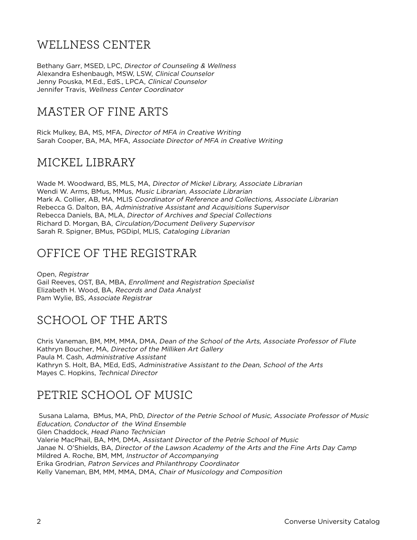# WELLNESS CENTER

Bethany Garr, MSED, LPC, Director of Counseling & Wellness Alexandra Eshenbaugh, MSW, LSW, Clinical Counselor Jenny Pouska, M.Ed., EdS., LPCA, Clinical Counselor Jennifer Travis, Wellness Center Coordinator

# MASTER OF FINE ARTS

Rick Mulkey, BA, MS, MFA, Director of MFA in Creative Writing Sarah Cooper, BA, MA, MFA, Associate Director of MFA in Creative Writing

#### MICKEL LIBRARY

Wade M. Woodward, BS, MLS, MA, Director of Mickel Library, Associate Librarian Wendi W. Arms, BMus, MMus, Music Librarian, Associate Librarian Mark A. Collier, AB, MA, MLIS Coordinator of Reference and Collections, Associate Librarian Rebecca G. Dalton, BA, Administrative Assistant and Acquisitions Supervisor Rebecca Daniels, BA, MLA, Director of Archives and Special Collections Richard D. Morgan, BA, Circulation/Document Delivery Supervisor Sarah R. Spigner, BMus, PGDipl, MLIS, Cataloging Librarian

# OFFICE OF THE REGISTRAR

Open, Registrar Gail Reeves, OST, BA, MBA, Enrollment and Registration Specialist Elizabeth H. Wood, BA, Records and Data Analyst Pam Wylie, BS, Associate Registrar

# SCHOOL OF THE ARTS

Chris Vaneman, BM, MM, MMA, DMA, Dean of the School of the Arts, Associate Professor of Flute Kathryn Boucher, MA, Director of the Milliken Art Gallery Paula M. Cash, Administrative Assistant Kathryn S. Holt, BA, MEd, EdS, Administrative Assistant to the Dean, School of the Arts Mayes C. Hopkins, Technical Director

#### PETRIE SCHOOL OF MUSIC

Susana Lalama, BMus, MA, PhD, Director of the Petrie School of Music, Associate Professor of Music Education, Conductor of the Wind Ensemble Glen Chaddock, Head Piano Technician Valerie MacPhail, BA, MM, DMA, Assistant Director of the Petrie School of Music Janae N. O'Shields, BA, Director of the Lawson Academy of the Arts and the Fine Arts Day Camp Mildred A. Roche, BM, MM, Instructor of Accompanying Erika Grodrian, Patron Services and Philanthropy Coordinator Kelly Vaneman, BM, MM, MMA, DMA, Chair of Musicology and Composition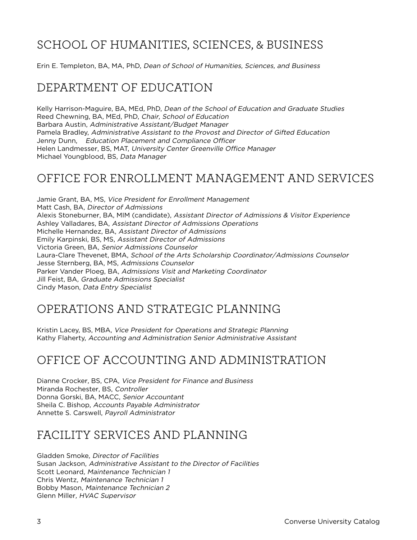# SCHOOL OF HUMANITIES, SCIENCES, & BUSINESS

Erin E. Templeton, BA, MA, PhD, Dean of School of Humanities, Sciences, and Business

# DEPARTMENT OF EDUCATION

Kelly Harrison-Maguire, BA, MEd, PhD, Dean of the School of Education and Graduate Studies Reed Chewning, BA, MEd, PhD, Chair, School of Education Barbara Austin, Administrative Assistant/Budget Manager Pamela Bradley, Administrative Assistant to the Provost and Director of Gifted Education Jenny Dunn, Education Placement and Compliance Officer Helen Landmesser, BS, MAT, University Center Greenville Office Manager Michael Youngblood, BS, Data Manager

#### OFFICE FOR ENROLLMENT MANAGEMENT AND SERVICES

Jamie Grant, BA, MS, Vice President for Enrollment Management Matt Cash, BA, Director of Admissions Alexis Stoneburner, BA, MIM (candidate), Assistant Director of Admissions & Visitor Experience Ashley Valladares, BA, Assistant Director of Admissions Operations Michelle Hernandez, BA, Assistant Director of Admissions Emily Karpinski, BS, MS, Assistant Director of Admissions Victoria Green, BA, Senior Admissions Counselor Laura-Clare Thevenet, BMA, School of the Arts Scholarship Coordinator/Admissions Counselor Jesse Sternberg, BA, MS, Admissions Counselor Parker Vander Ploeg, BA, Admissions Visit and Marketing Coordinator Jill Feist, BA, Graduate Admissions Specialist Cindy Mason, Data Entry Specialist

#### OPERATIONS AND STRATEGIC PLANNING

Kristin Lacey, BS, MBA, Vice President for Operations and Strategic Planning Kathy Flaherty, Accounting and Administration Senior Administrative Assistant

# OFFICE OF ACCOUNTING AND ADMINISTRATION

Dianne Crocker, BS, CPA, Vice President for Finance and Business Miranda Rochester, BS, Controller Donna Gorski, BA, MACC, Senior Accountant Sheila C. Bishop, Accounts Payable Administrator Annette S. Carswell, Payroll Administrator

#### FACILITY SERVICES AND PLANNING

Gladden Smoke, Director of Facilities Susan Jackson, Administrative Assistant to the Director of Facilities Scott Leonard, Maintenance Technician 1 Chris Wentz, Maintenance Technician 1 Bobby Mason, Maintenance Technician 2 Glenn Miller, HVAC Supervisor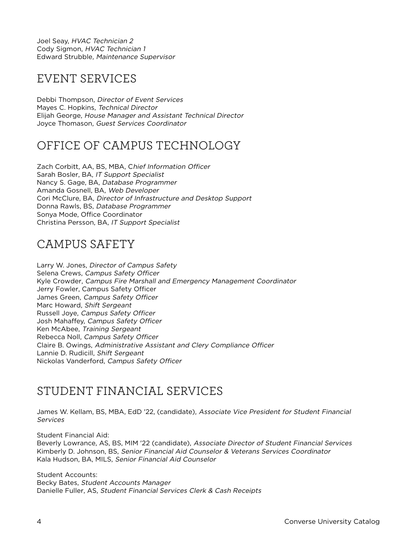Joel Seay, HVAC Technician 2 Cody Sigmon, HVAC Technician 1 Edward Strubble, Maintenance Supervisor

## EVENT SERVICES

Debbi Thompson, Director of Event Services Mayes C. Hopkins, Technical Director Elijah George, House Manager and Assistant Technical Director Joyce Thomason, Guest Services Coordinator

# OFFICE OF CAMPUS TECHNOLOGY

Zach Corbitt, AA, BS, MBA, Chief Information Officer Sarah Bosler, BA, IT Support Specialist Nancy S. Gage, BA, Database Programmer Amanda Gosnell, BA, Web Developer Cori McClure, BA, Director of Infrastructure and Desktop Support Donna Rawls, BS, Database Programmer Sonya Mode, Office Coordinator Christina Persson, BA, IT Support Specialist

# CAMPUS SAFETY

Larry W. Jones, Director of Campus Safety Selena Crews, Campus Safety Officer Kyle Crowder, Campus Fire Marshall and Emergency Management Coordinator Jerry Fowler, Campus Safety Officer James Green, Campus Safety Officer Marc Howard, Shift Sergeant Russell Joye, Campus Safety Officer Josh Mahaffey, Campus Safety Officer Ken McAbee, Training Sergeant Rebecca Noll, Campus Safety Officer Claire B. Owings, Administrative Assistant and Clery Compliance Officer Lannie D. Rudicill, Shift Sergeant Nickolas Vanderford, Campus Safety Officer

# STUDENT FINANCIAL SERVICES

James W. Kellam, BS, MBA, EdD '22, (candidate), Associate Vice President for Student Financial **Services** 

Student Financial Aid:

Beverly Lowrance, AS, BS, MIM '22 (candidate), Associate Director of Student Financial Services Kimberly D. Johnson, BS, Senior Financial Aid Counselor & Veterans Services Coordinator Kala Hudson, BA, MILS, Senior Financial Aid Counselor

Student Accounts: Becky Bates, Student Accounts Manager Danielle Fuller, AS, Student Financial Services Clerk & Cash Receipts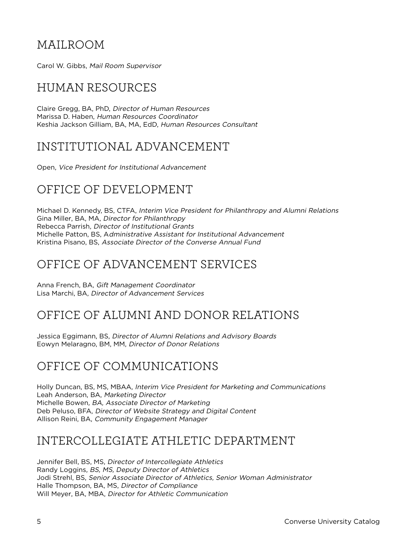## MAILROOM

Carol W. Gibbs, Mail Room Supervisor

# HUMAN RESOURCES

Claire Gregg, BA, PhD, Director of Human Resources Marissa D. Haben, Human Resources Coordinator Keshia Jackson Gilliam, BA, MA, EdD, Human Resources Consultant

## INSTITUTIONAL ADVANCEMENT

Open, Vice President for Institutional Advancement

# OFFICE OF DEVELOPMENT

Michael D. Kennedy, BS, CTFA, Interim Vice President for Philanthropy and Alumni Relations Gina Miller, BA, MA, Director for Philanthropy Rebecca Parrish, Director of Institutional Grants Michelle Patton, BS, Administrative Assistant for Institutional Advancement Kristina Pisano, BS, Associate Director of the Converse Annual Fund

# OFFICE OF ADVANCEMENT SERVICES

Anna French, BA, Gift Management Coordinator Lisa Marchi, BA, Director of Advancement Services

# OFFICE OF ALUMNI AND DONOR RELATIONS

Jessica Eggimann, BS, Director of Alumni Relations and Advisory Boards Eowyn Melaragno, BM, MM, Director of Donor Relations

# OFFICE OF COMMUNICATIONS

Holly Duncan, BS, MS, MBAA, Interim Vice President for Marketing and Communications Leah Anderson, BA, Marketing Director Michelle Bowen, BA, Associate Director of Marketing Deb Peluso, BFA, Director of Website Strategy and Digital Content Allison Reini, BA, Community Engagement Manager

# INTERCOLLEGIATE ATHLETIC DEPARTMENT

Jennifer Bell, BS, MS, Director of Intercollegiate Athletics Randy Loggins, BS, MS, Deputy Director of Athletics Jodi Strehl, BS, Senior Associate Director of Athletics, Senior Woman Administrator Halle Thompson, BA, MS, Director of Compliance Will Meyer, BA, MBA, Director for Athletic Communication